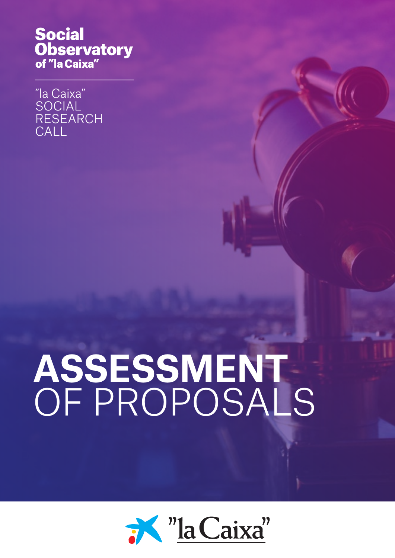# **Social Observatory**<br>of "la Caixa"

"la Caixa" SOCIAL RESEARCH **CALL** 

# **ASSESSMENT**  OF PROPOSALS

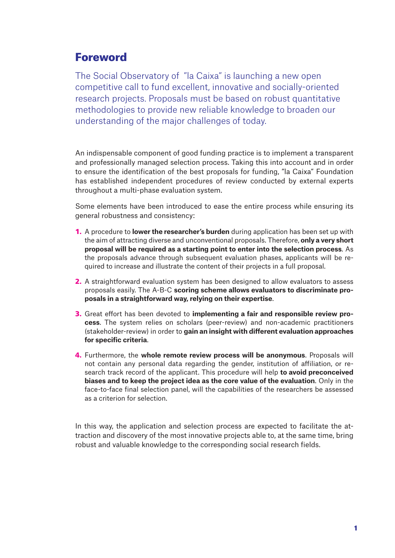# Foreword

The Social Observatory of "la Caixa" is launching a new open competitive call to fund excellent, innovative and socially-oriented research projects. Proposals must be based on robust quantitative methodologies to provide new reliable knowledge to broaden our understanding of the major challenges of today.

An indispensable component of good funding practice is to implement a transparent and professionally managed selection process. Taking this into account and in order to ensure the identification of the best proposals for funding, "la Caixa" Foundation has established independent procedures of review conducted by external experts throughout a multi-phase evaluation system.

Some elements have been introduced to ease the entire process while ensuring its general robustness and consistency:

- 1. A procedure to **lower the researcher's burden** during application has been set up with the aim of attracting diverse and unconventional proposals. Therefore, **only a very short proposal will be required as a starting point to enter into the selection process**. As the proposals advance through subsequent evaluation phases, applicants will be required to increase and illustrate the content of their projects in a full proposal.
- 2. A straightforward evaluation system has been designed to allow evaluators to assess proposals easily. The A-B-C **scoring scheme allows evaluators to discriminate proposals in a straightforward way, relying on their expertise**.
- 3. Great effort has been devoted to **implementing a fair and responsible review process**. The system relies on scholars (peer-review) and non-academic practitioners (stakeholder-review) in order to **gain an insight with different evaluation approaches for specific criteria**.
- 4. Furthermore, the **whole remote review process will be anonymous**. Proposals will not contain any personal data regarding the gender, institution of affiliation, or research track record of the applicant. This procedure will help **to avoid preconceived biases and to keep the project idea as the core value of the evaluation**. Only in the face-to-face final selection panel, will the capabilities of the researchers be assessed as a criterion for selection.

In this way, the application and selection process are expected to facilitate the attraction and discovery of the most innovative projects able to, at the same time, bring robust and valuable knowledge to the corresponding social research fields.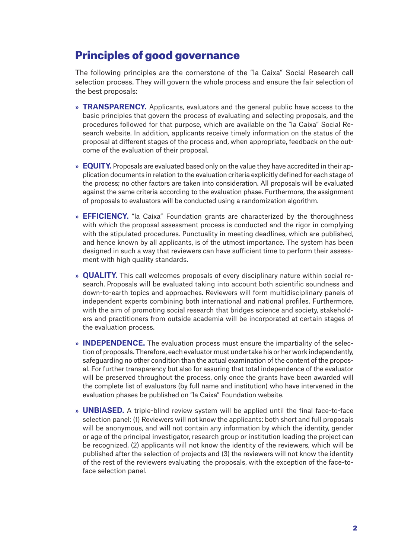## Principles of good governance

The following principles are the cornerstone of the "la Caixa" Social Research call selection process. They will govern the whole process and ensure the fair selection of the best proposals:

- » **TRANSPARENCY.** Applicants, evaluators and the general public have access to the basic principles that govern the process of evaluating and selecting proposals, and the procedures followed for that purpose, which are available on the "la Caixa" Social Research website. In addition, applicants receive timely information on the status of the proposal at different stages of the process and, when appropriate, feedback on the outcome of the evaluation of their proposal.
- » **EQUITY.** Proposals are evaluated based only on the value they have accredited in their application documents in relation to the evaluation criteria explicitly defined for each stage of the process; no other factors are taken into consideration. All proposals will be evaluated against the same criteria according to the evaluation phase. Furthermore, the assignment of proposals to evaluators will be conducted using a randomization algorithm.
- » **EFFICIENCY.** "la Caixa" Foundation grants are characterized by the thoroughness with which the proposal assessment process is conducted and the rigor in complying with the stipulated procedures. Punctuality in meeting deadlines, which are published, and hence known by all applicants, is of the utmost importance. The system has been designed in such a way that reviewers can have sufficient time to perform their assessment with high quality standards.
- » **QUALITY.** This call welcomes proposals of every disciplinary nature within social research. Proposals will be evaluated taking into account both scientific soundness and down-to-earth topics and approaches. Reviewers will form multidisciplinary panels of independent experts combining both international and national profiles. Furthermore, with the aim of promoting social research that bridges science and society, stakeholders and practitioners from outside academia will be incorporated at certain stages of the evaluation process.
- » **INDEPENDENCE.** The evaluation process must ensure the impartiality of the selection of proposals. Therefore, each evaluator must undertake his or her work independently, safeguarding no other condition than the actual examination of the content of the proposal. For further transparency but also for assuring that total independence of the evaluator will be preserved throughout the process, only once the grants have been awarded will the complete list of evaluators (by full name and institution) who have intervened in the evaluation phases be published on "la Caixa" Foundation website.
- » **UNBIASED.** A triple-blind review system will be applied until the final face-to-face selection panel: (1) Reviewers will not know the applicants: both short and full proposals will be anonymous, and will not contain any information by which the identity, gender or age of the principal investigator, research group or institution leading the project can be recognized, (2) applicants will not know the identity of the reviewers, which will be published after the selection of projects and (3) the reviewers will not know the identity of the rest of the reviewers evaluating the proposals, with the exception of the face-toface selection panel.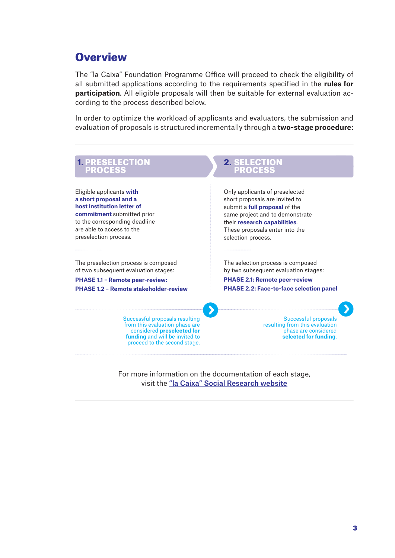# **Overview**

The "la Caixa" Foundation Programme Office will proceed to check the eligibility of all submitted applications according to the requirements specified in the **rules for participation**. All eligible proposals will then be suitable for external evaluation according to the process described below.

In order to optimize the workload of applicants and evaluators, the submission and evaluation of proposals is structured incrementally through a **two-stage procedure:**



For more information on the documentation of each stage, visit the ["la Caixa" Social Research website](https://observatoriosociallacaixa.org/en/-/convocatoria-de-investigacion-social)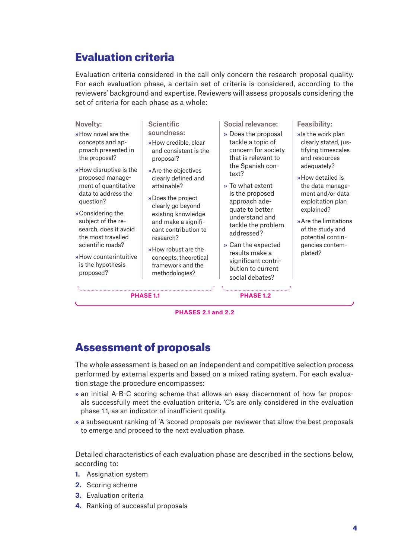# Evaluation criteria

Evaluation criteria considered in the call only concern the research proposal quality. For each evaluation phase, a certain set of criteria is considered, according to the reviewers' background and expertise. Reviewers will assess proposals considering the set of criteria for each phase as a whole:

### Assessment of proposals

The whole assessment is based on an independent and competitive selection process performed by external experts and based on a mixed rating system. For each evaluation stage the procedure encompasses:

- » an initial A-B-C scoring scheme that allows an easy discernment of how far proposals successfully meet the evaluation criteria. 'C's are only considered in the evaluation phase 1.1, as an indicator of insufficient quality.
- » a subsequent ranking of 'A 'scored proposals per reviewer that allow the best proposals to emerge and proceed to the next evaluation phase.

Detailed characteristics of each evaluation phase are described in the sections below, according to:

- **1.** Assignation system
- **2.** Scoring scheme
- **3.** Evaluation criteria
- **4.** Ranking of successful proposals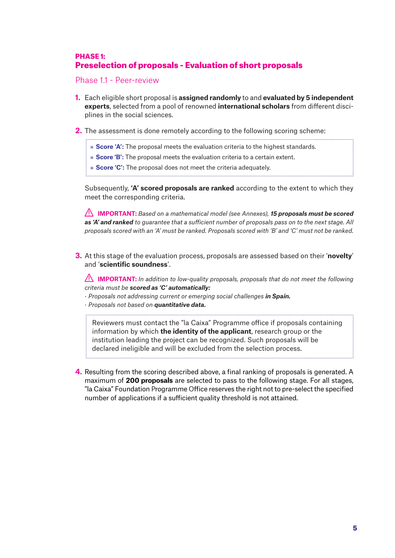### PHASE 1: Preselection of proposals - Evaluation of short proposals

Phase 1.1 - Peer-review

**1.** Each eligible short proposal is **assigned randomly** to and **evaluated by 5 independent experts**, selected from a pool of renowned **international scholars** from different disciplines in the social sciences.

- **2.** The assessment is done remotely according to the following scoring scheme:
	- » **Score 'A':** The proposal meets the evaluation criteria to the highest standards.
	- » **Score 'B':** The proposal meets the evaluation criteria to a certain extent.
	- » **Score 'C':** The proposal does not meet the criteria adequately.

Subsequently, **'A' scored proposals are ranked** according to the extent to which they meet the corresponding criteria.

**IMPORTANT:** *Based on a mathematical model (see Annexes), 15 proposals must be scored as 'A' and ranked to guarantee that a sufficient number of proposals pass on to the next stage. All proposals scored with an 'A' must be ranked. Proposals scored with 'B' and 'C' must not be ranked.*

**3.** At this stage of the evaluation process, proposals are assessed based on their '**novelty**' and '**scientific soundness**'.

**IMPORTANT:** *In addition to low-quality proposals, proposals that do not meet the following criteria must be scored as 'C' automatically:*

- *· Proposals not addressing current or emerging social challenges in Spain.*
- *· Proposals not based on quantitative data.*

Reviewers must contact the "la Caixa" Programme office if proposals containing information by which **the identity of the applicant**, research group or the institution leading the project can be recognized. Such proposals will be declared ineligible and will be excluded from the selection process.

**4.** Resulting from the scoring described above, a final ranking of proposals is generated. A maximum of **200 proposals** are selected to pass to the following stage. For all stages, "la Caixa" Foundation Programme Office reserves the right not to pre-select the specified number of applications if a sufficient quality threshold is not attained.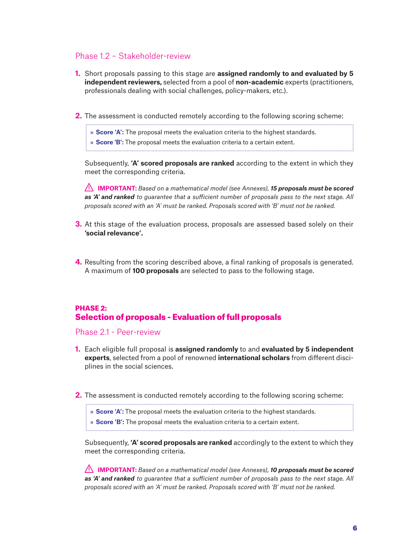### Phase 1.2 – Stakeholder-review

- **1.** Short proposals passing to this stage are **assigned randomly to and evaluated by 5 independent reviewers,** selected from a pool of **non-academic** experts (practitioners, professionals dealing with social challenges, policy-makers, etc.).
- **2.** The assessment is conducted remotely according to the following scoring scheme:

» **Score 'A':** The proposal meets the evaluation criteria to the highest standards.

» **Score 'B':** The proposal meets the evaluation criteria to a certain extent.

Subsequently, **'A' scored proposals are ranked** according to the extent in which they meet the corresponding criteria.

**IMPORTANT:** *Based on a mathematical model (see Annexes), 15 proposals must be scored as 'A' and ranked to guarantee that a sufficient number of proposals pass to the next stage. All proposals scored with an 'A' must be ranked. Proposals scored with 'B' must not be ranked.*

- **3.** At this stage of the evaluation process, proposals are assessed based solely on their **'social relevance'.**
- **4.** Resulting from the scoring described above, a final ranking of proposals is generated. A maximum of **100 proposals** are selected to pass to the following stage.

### PHASE 2: Selection of proposals - Evaluation of full proposals

Phase 2.1 - Peer-review

- **1.** Each eligible full proposal is **assigned randomly** to and **evaluated by 5 independent experts**, selected from a pool of renowned **international scholars** from different disciplines in the social sciences.
- **2.** The assessment is conducted remotely according to the following scoring scheme:

» **Score 'A':** The proposal meets the evaluation criteria to the highest standards.

» **Score 'B':** The proposal meets the evaluation criteria to a certain extent.

Subsequently, **'A' scored proposals are ranked** accordingly to the extent to which they meet the corresponding criteria.

**IMPORTANT:** *Based on a mathematical model (see Annexes), 10 proposals must be scored as 'A' and ranked to guarantee that a sufficient number of proposals pass to the next stage. All proposals scored with an 'A' must be ranked. Proposals scored with 'B' must not be ranked.*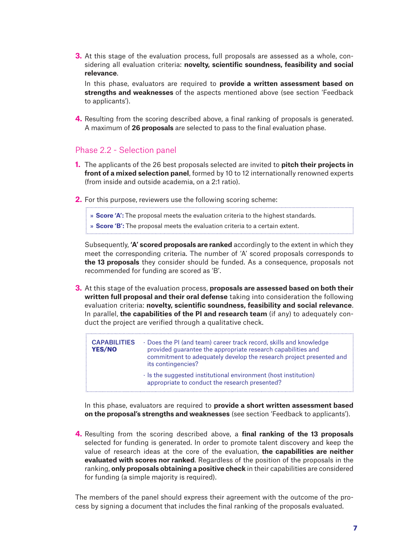**3.** At this stage of the evaluation process, full proposals are assessed as a whole, considering all evaluation criteria: **novelty, scientific soundness, feasibility and social relevance**.

In this phase, evaluators are required to **provide a written assessment based on strengths and weaknesses** of the aspects mentioned above (see section 'Feedback to applicants').

**4.** Resulting from the scoring described above, a final ranking of proposals is generated. A maximum of **26 proposals** are selected to pass to the final evaluation phase.

### Phase 2.2 - Selection panel

- **1.** The applicants of the 26 best proposals selected are invited to **pitch their projects in front of a mixed selection panel**, formed by 10 to 12 internationally renowned experts (from inside and outside academia, on a 2:1 ratio).
- **2.** For this purpose, reviewers use the following scoring scheme:

» **Score 'A':** The proposal meets the evaluation criteria to the highest standards.

» **Score 'B':** The proposal meets the evaluation criteria to a certain extent.

Subsequently, **'A' scored proposals are ranked** accordingly to the extent in which they meet the corresponding criteria. The number of 'A' scored proposals corresponds to **the 13 proposals** they consider should be funded. As a consequence, proposals not recommended for funding are scored as 'B'.

**3.** At this stage of the evaluation process, **proposals are assessed based on both their written full proposal and their oral defense** taking into consideration the following evaluation criteria: **novelty, scientific soundness, feasibility and social relevance**. In parallel, **the capabilities of the PI and research team** (if any) to adequately conduct the project are verified through a qualitative check.

| <b>CAPABILITIES</b><br><b>YES/NO</b> | • Does the PI (and team) career track record, skills and knowledge<br>provided guarantee the appropriate research capabilities and<br>commitment to adequately develop the research project presented and<br>its contingencies? |
|--------------------------------------|---------------------------------------------------------------------------------------------------------------------------------------------------------------------------------------------------------------------------------|
|                                      | In the suggested institutional environment (host institution)<br>appropriate to conduct the research presented?                                                                                                                 |

In this phase, evaluators are required to **provide a short written assessment based on the proposal's strengths and weaknesses** (see section 'Feedback to applicants').

**4.** Resulting from the scoring described above, a **final ranking of the 13 proposals** selected for funding is generated. In order to promote talent discovery and keep the value of research ideas at the core of the evaluation, **the capabilities are neither evaluated with scores nor ranked**. Regardless of the position of the proposals in the ranking, **only proposals obtaining a positive check** in their capabilities are considered for funding (a simple majority is required).

The members of the panel should express their agreement with the outcome of the process by signing a document that includes the final ranking of the proposals evaluated.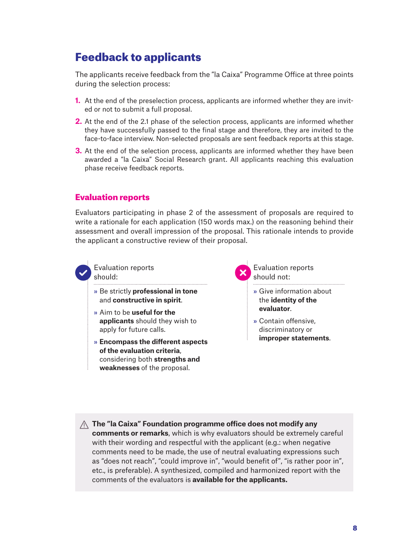# Feedback to applicants

The applicants receive feedback from the "la Caixa" Programme Office at three points during the selection process:

- **1.** At the end of the preselection process, applicants are informed whether they are invited or not to submit a full proposal.
- **2.** At the end of the 2.1 phase of the selection process, applicants are informed whether they have successfully passed to the final stage and therefore, they are invited to the face-to-face interview. Non-selected proposals are sent feedback reports at this stage.
- **3.** At the end of the selection process, applicants are informed whether they have been awarded a "la Caixa" Social Research grant. All applicants reaching this evaluation phase receive feedback reports.

### Evaluation reports

Evaluators participating in phase 2 of the assessment of proposals are required to write a rationale for each application (150 words max.) on the reasoning behind their assessment and overall impression of the proposal. This rationale intends to provide the applicant a constructive review of their proposal.



Evaluation reports should:

- » Be strictly **professional in tone**  and **constructive in spirit**.
- » Aim to be **useful for the applicants** should they wish to apply for future calls.
- » **Encompass the different aspects of the evaluation criteria**, considering both **strengths and weaknesses** of the proposal.

Evaluation reports should not:

- » Give information about the **identity of the evaluator**.
- » Contain offensive, discriminatory or **improper statements**.

**The "la Caixa" Foundation programme office does not modify any comments or remarks**, which is why evaluators should be extremely careful with their wording and respectful with the applicant (e.g.: when negative comments need to be made, the use of neutral evaluating expressions such as "does not reach", "could improve in", "would benefit of", "is rather poor in", etc., is preferable). A synthesized, compiled and harmonized report with the comments of the evaluators is **available for the applicants.**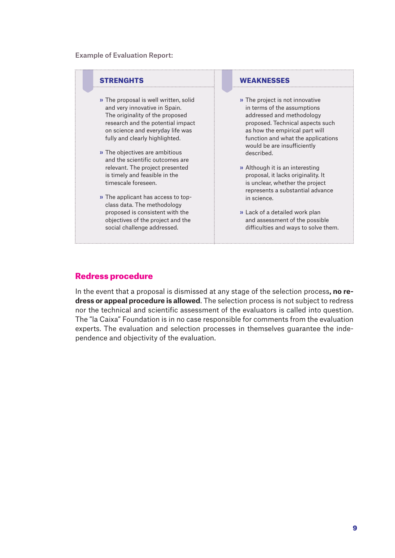### Example of Evaluation Report:



### Redress procedure

In the event that a proposal is dismissed at any stage of the selection process**, no redress or appeal procedure is allowed**. The selection process is not subject to redress nor the technical and scientific assessment of the evaluators is called into question. The "la Caixa" Foundation is in no case responsible for comments from the evaluation experts. The evaluation and selection processes in themselves guarantee the independence and objectivity of the evaluation.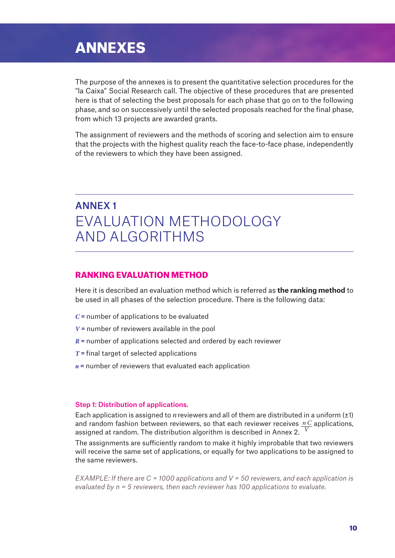# ANNEXES

The purpose of the annexes is to present the quantitative selection procedures for the "la Caixa" Social Research call. The objective of these procedures that are presented here is that of selecting the best proposals for each phase that go on to the following phase, and so on successively until the selected proposals reached for the final phase, from which 13 projects are awarded grants.

The assignment of reviewers and the methods of scoring and selection aim to ensure that the projects with the highest quality reach the face-to-face phase, independently of the reviewers to which they have been assigned.

# ANNEX 1 EVALUATION METHODOLOGY AND ALGORITHMS

### RANKING EVALUATION METHOD

Here it is described an evaluation method which is referred as **the ranking method** to be used in all phases of the selection procedure. There is the following data:

- *C* = number of applications to be evaluated
- *V* = number of reviewers available in the pool
- *R* = number of applications selected and ordered by each reviewer
- *T* = final target of selected applications
- *n* = number of reviewers that evaluated each application

#### Step 1: Distribution of applications.

Each application is assigned to *n*reviewers and all of them are distributed in a uniform (±1) and random fashion between reviewers, so that each reviewer receives n C applications, assigned at random. The distribution algorithm is described in Annex 2. *V*

The assignments are sufficiently random to make it highly improbable that two reviewers will receive the same set of applications, or equally for two applications to be assigned to the same reviewers.

*EXAMPLE: If there are C = 1000 applications and V = 50 reviewers, and each application is evaluated by n = 5 reviewers, then each reviewer has 100 applications to evaluate.*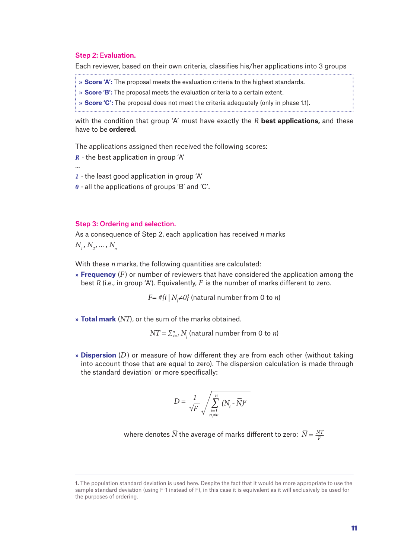### Step 2: Evaluation.

...

Each reviewer, based on their own criteria, classifies his/her applications into 3 groups

- » **Score 'A':** The proposal meets the evaluation criteria to the highest standards.
- » **Score 'B':** The proposal meets the evaluation criteria to a certain extent.
- » **Score 'C':** The proposal does not meet the criteria adequately (only in phase 1.1).

with the condition that group 'A' must have exactly the *R* **best applications,** and these have to be **ordered**.

<u> 1. marrow matematika kwa mwaka wa mshindi wa 1989 aliyofanyika kwa matu wa 1989 aliyofanyika kwa matu wa 198</u>

The applications assigned then received the following scores:

- $R \cdot$  the best application in group 'A'
- *1* · the least good application in group 'A'
- *0* · all the applications of groups 'B' and 'C'.

### Step 3: Ordering and selection.

As a consequence of Step 2, each application has received *n* marks  $N_1, N_2, \ldots, N_n$ 

With these *n* marks, the following quantities are calculated:

» **Frequency** (*F*) or number of reviewers that have considered the application among the best *R* (i.e., in group 'A'). Equivalently, *F* is the number of marks different to zero.

 $F=\#\{i\mid N_{\vec{i}}{\neq}\theta\}$  (natural number from 0 to *n*)

» **Total mark** (*NT*), or the sum of the marks obtained.

 $NT = \sum_{i=1}^{n} N_i$  (natural number from 0 to *n*)

» **Dispersion** (*D*) or measure of how different they are from each other (without taking into account those that are equal to zero). The dispersion calculation is made through the standard deviation<sup>1</sup> or more specifically:

$$
D = \frac{1}{\sqrt{F}} \sqrt{\sum_{\substack{i=1 \ n_i \neq 0}}^n (N_i - \overline{N})^2}
$$

where denotes  $\overline{N}$  the average of marks different to zero:  $\ \overline{N}$  =  $\frac{N T}{F}$ 

**<sup>1.</sup>** The population standard deviation is used here. Despite the fact that it would be more appropriate to use the sample standard deviation (using F-1 instead of F), in this case it is equivalent as it will exclusively be used for the purposes of ordering.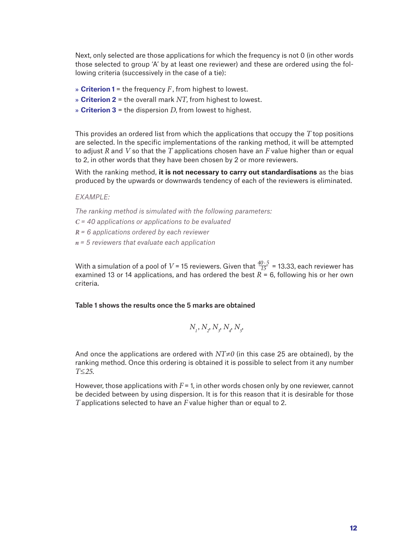Next, only selected are those applications for which the frequency is not 0 (in other words those selected to group 'A' by at least one reviewer) and these are ordered using the following criteria (successively in the case of a tie):

- » **Criterion 1** = the frequency *F*, from highest to lowest.
- » **Criterion 2** = the overall mark *NT*, from highest to lowest.
- » **Criterion 3** = the dispersion *D*, from lowest to highest.

This provides an ordered list from which the applications that occupy the *T* top positions are selected. In the specific implementations of the ranking method, it will be attempted to adjust *R* and *V* so that the *T* applications chosen have an *F* value higher than or equal to 2, in other words that they have been chosen by 2 or more reviewers.

With the ranking method, **it is not necessary to carry out standardisations** as the bias produced by the upwards or downwards tendency of each of the reviewers is eliminated.

*EXAMPLE:* 

*The ranking method is simulated with the following parameters:*

*C = 40 applications or applications to be evaluated*

*R = 6 applications ordered by each reviewer* 

*n = 5 reviewers that evaluate each application*

With a simulation of a pool of  $V$  = 15 reviewers. Given that  $\frac{40\cdot 5}{15}$  = 13.33, each reviewer has examined 13 or 14 applications, and has ordered the best  $\overrightarrow{R}$  = 6, following his or her own criteria. *15*

### Table 1 shows the results once the 5 marks are obtained

$$
N_{_I},\,N_{_2},\,N_{_3},\,N_{_4},\,N_{_5},\,
$$

And once the applications are ordered with *NT≠0* (in this case 25 are obtained), by the ranking method. Once this ordering is obtained it is possible to select from it any number *T≤25*.

However, those applications with *F* = 1, in other words chosen only by one reviewer, cannot be decided between by using dispersion. It is for this reason that it is desirable for those *T* applications selected to have an *F* value higher than or equal to 2.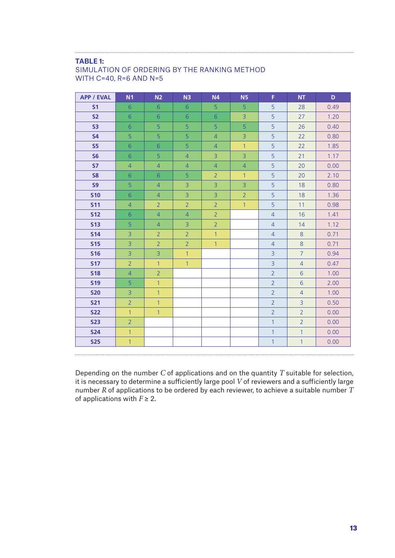### **TABLE 1:**

### SIMULATION OF ORDERING BY THE RANKING METHOD WITH C=40, R=6 AND N=5

| <b>APP / EVAL</b> | N <sub>1</sub> | N <sub>2</sub> | N <sub>3</sub> | <b>N4</b>      | N <sub>5</sub> | F.             | NT             | D    |
|-------------------|----------------|----------------|----------------|----------------|----------------|----------------|----------------|------|
| S <sub>1</sub>    | $6\phantom{1}$ | 6              | $6\phantom{a}$ | 5              | 5              | 5              | 28             | 0.49 |
| S <sub>2</sub>    | $6\phantom{a}$ | $6\phantom{1}$ | $\overline{6}$ | $\overline{6}$ | $\overline{3}$ | 5              | 27             | 1.20 |
| <b>S3</b>         | 6              | 5              | 5              | 5              | 5              | 5              | 26             | 0.40 |
| <b>S4</b>         | $\overline{5}$ | $\overline{5}$ | 5              | $\overline{4}$ | 3              | 5              | 22             | 0.80 |
| <b>S5</b>         | 6              | $6\phantom{1}$ | 5              | $\overline{4}$ | $\mathbf{1}$   | 5              | 22             | 1.85 |
| <b>S6</b>         | $6\phantom{a}$ | 5              | $\overline{4}$ | $\overline{3}$ | $\overline{3}$ | 5              | 21             | 1.17 |
| <b>S7</b>         | $\overline{4}$ | $\overline{4}$ | $\overline{4}$ | $\overline{4}$ | $\overline{4}$ | 5              | 20             | 0.00 |
| <b>S8</b>         | 6              | 6              | 5              | $\overline{2}$ | $\mathbf{1}$   | 5              | 20             | 2.10 |
| <b>S9</b>         | 5              | $\overline{4}$ | $\overline{3}$ | $\overline{3}$ | 3              | 5              | 18             | 0.80 |
| <b>S10</b>        | 6              | $\overline{4}$ | $\overline{3}$ | $\overline{3}$ | $\overline{2}$ | 5 <sup>1</sup> | 18             | 1.36 |
| <b>S11</b>        | $\overline{4}$ | 2 <sup>1</sup> | $\overline{2}$ | $\overline{2}$ | $\mathbf{1}$   | 5              | 11             | 0.98 |
| <b>S12</b>        | 6              | $\overline{4}$ | $\overline{4}$ | 2 <sup>1</sup> |                | $\overline{4}$ | 16             | 1.41 |
| <b>S13</b>        | 5              | $\overline{4}$ | $\overline{3}$ | $\overline{2}$ |                | $\overline{4}$ | 14             | 1.12 |
| <b>S14</b>        | $\overline{3}$ | $\overline{2}$ | $\overline{2}$ | $\mathbf{1}$   |                | $\overline{4}$ | 8              | 0.71 |
| <b>S15</b>        | 3              | $\overline{2}$ | $\overline{2}$ | $\mathbf{1}$   |                | $\overline{4}$ | 8              | 0.71 |
| <b>S16</b>        | $\overline{3}$ | $\overline{3}$ | $\mathbf{1}$   |                |                | $\overline{3}$ | $\overline{7}$ | 0.94 |
| <b>S17</b>        | $\overline{2}$ | $\mathbf{1}$   | $\mathbf{1}$   |                |                | $\overline{3}$ | $\overline{4}$ | 0.47 |
| <b>S18</b>        | $\overline{4}$ | $\overline{2}$ |                |                |                | $\overline{2}$ | $6\phantom{a}$ | 1.00 |
| <b>S19</b>        | 5              | $\mathbf{1}$   |                |                |                | $\overline{2}$ | $6\phantom{a}$ | 2.00 |
| <b>S20</b>        | $\overline{3}$ | $\mathbf{1}$   |                |                |                | $\overline{2}$ | $\overline{4}$ | 1.00 |
| <b>S21</b>        | $\overline{2}$ | $\mathbf{1}$   |                |                |                | $\overline{2}$ | $\overline{3}$ | 0.50 |
| <b>S22</b>        | $\overline{1}$ | $\mathbf{1}$   |                |                |                | $\overline{2}$ | $\overline{2}$ | 0.00 |
| <b>S23</b>        | $\overline{2}$ |                |                |                |                | $\overline{1}$ | $\overline{2}$ | 0.00 |
| <b>S24</b>        | $\mathbf{1}$   |                |                |                |                | $\mathbf{1}$   | $\mathbf{1}$   | 0.00 |
| <b>S25</b>        | $\mathbf{1}$   |                |                |                |                | $\overline{1}$ | $\mathbf{1}$   | 0.00 |
|                   |                |                |                |                |                |                |                |      |

Depending on the number *C* of applications and on the quantity *T* suitable for selection, it is necessary to determine a sufficiently large pool *V* of reviewers and a sufficiently large number *R* of applications to be ordered by each reviewer, to achieve a suitable number *T* of applications with  $F \geq 2$ .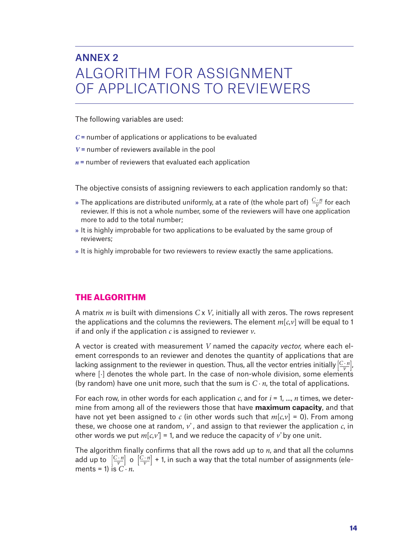# ANNEX 2 ALGORITHM FOR ASSIGNMENT OF APPLICATIONS TO REVIEWERS

The following variables are used:

- *C* = number of applications or applications to be evaluated
- *V* = number of reviewers available in the pool
- *n* = number of reviewers that evaluated each application

The objective consists of assigning reviewers to each application randomly so that:

- » The applications are distributed uniformly, at a rate of (the whole part of)  $\frac{C \cdot n}{\nu}$  for each reviewer. If this is not a whole number, some of the reviewers will have one application more to add to the total number;
- » It is highly improbable for two applications to be evaluated by the same group of reviewers;
- » It is highly improbable for two reviewers to review exactly the same applications.

### THE ALGORITHM

A matrix *m* is built with dimensions *C* x *V*, initially all with zeros. The rows represent the applications and the columns the reviewers. The element  $m[c, \nu]$  will be equal to 1 if and only if the application *c* is assigned to reviewer *v*.

A vector is created with measurement *V* named the *capacity vector,* where each element corresponds to an reviewer and denotes the quantity of applications that are lacking assignment to the reviewer in question. Thus, all the vector entries initially  $\left[\frac{C\cdot n}{\nu}\right]$ , where  $\lceil \cdot \rceil$  denotes the whole part. In the case of non-whole division, some elements (by random) have one unit more, such that the sum is  $C \cdot n$ , the total of applications.

For each row, in other words for each application  $c$ , and for  $i = 1, ..., n$  times, we determine from among all of the reviewers those that have **maximum capacity**, and that have not yet been assigned to *c* (in other words such that  $m[c, v] = 0$ ). From among these, we choose one at random, *v'* , and assign to that reviewer the application *c*, in other words we put  $m[c, v'] = 1$ , and we reduce the capacity of v' by one unit.

The algorithm finally confirms that all the rows add up to *n*, and that all the columns add up to  $\left[\frac{C \cdot n}{\nu}\right]$  o  $\left[\frac{C \cdot n}{\nu}\right]$  + 1, in such a way that the total number of assignments (elements = 1) is  $C \cdot n$ .